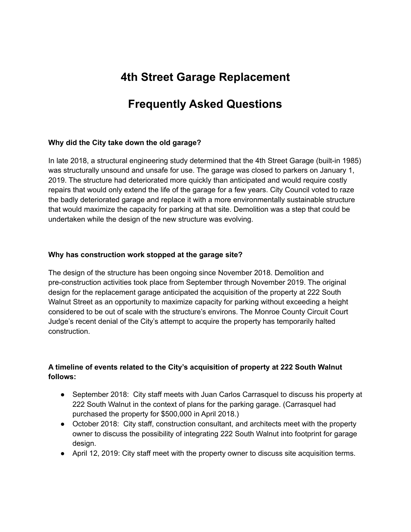# **4th Street Garage Replacement**

# **Frequently Asked Questions**

#### **Why did the City take down the old garage?**

In late 2018, a structural engineering study determined that the 4th Street Garage (built-in 1985) was structurally unsound and unsafe for use. The garage was closed to parkers on January 1, 2019. The structure had deteriorated more quickly than anticipated and would require costly repairs that would only extend the life of the garage for a few years. City Council voted to raze the badly deteriorated garage and replace it with a more environmentally sustainable structure that would maximize the capacity for parking at that site. Demolition was a step that could be undertaken while the design of the new structure was evolving.

#### **Why has construction work stopped at the garage site?**

The design of the structure has been ongoing since November 2018. Demolition and pre-construction activities took place from September through November 2019. The original design for the replacement garage anticipated the acquisition of the property at 222 South Walnut Street as an opportunity to maximize capacity for parking without exceeding a height considered to be out of scale with the structure's environs. The Monroe County Circuit Court Judge's recent denial of the City's attempt to acquire the property has temporarily halted construction.

## **A timeline of events related to the City's acquisition of property at 222 South Walnut follows:**

- September 2018: City staff meets with Juan Carlos Carrasquel to discuss his property at 222 South Walnut in the context of plans for the parking garage. (Carrasquel had purchased the property for \$500,000 in April 2018.)
- October 2018: City staff, construction consultant, and architects meet with the property owner to discuss the possibility of integrating 222 South Walnut into footprint for garage design.
- April 12, 2019: City staff meet with the property owner to discuss site acquisition terms.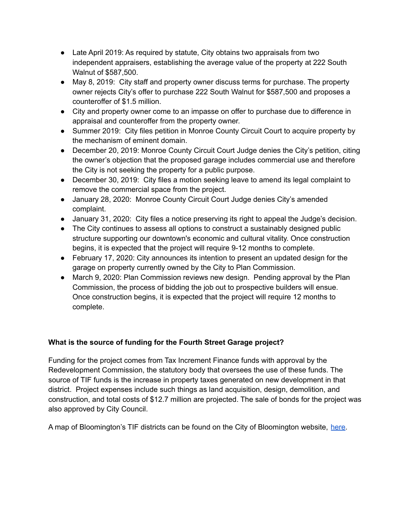- Late April 2019: As required by statute, City obtains two appraisals from two independent appraisers, establishing the average value of the property at 222 South Walnut of \$587,500.
- May 8, 2019: City staff and property owner discuss terms for purchase. The property owner rejects City's offer to purchase 222 South Walnut for \$587,500 and proposes a counteroffer of \$1.5 million.
- City and property owner come to an impasse on offer to purchase due to difference in appraisal and counteroffer from the property owner.
- Summer 2019: City files petition in Monroe County Circuit Court to acquire property by the mechanism of eminent domain.
- December 20, 2019: Monroe County Circuit Court Judge denies the City's petition, citing the owner's objection that the proposed garage includes commercial use and therefore the City is not seeking the property for a public purpose.
- December 30, 2019: City files a motion seeking leave to amend its legal complaint to remove the commercial space from the project.
- January 28, 2020: Monroe County Circuit Court Judge denies City's amended complaint.
- January 31, 2020: City files a notice preserving its right to appeal the Judge's decision.
- The City continues to assess all options to construct a sustainably designed public structure supporting our downtown's economic and cultural vitality. Once construction begins, it is expected that the project will require 9-12 months to complete.
- February 17, 2020: City announces its intention to present an updated design for the garage on property currently owned by the City to Plan Commission.
- March 9, 2020: Plan Commission reviews new design. Pending approval by the Plan Commission, the process of bidding the job out to prospective builders will ensue. Once construction begins, it is expected that the project will require 12 months to complete.

# **What is the source of funding for the Fourth Street Garage project?**

Funding for the project comes from Tax Increment Finance funds with approval by the Redevelopment Commission, the statutory body that oversees the use of these funds. The source of TIF funds is the increase in property taxes generated on new development in that district. Project expenses include such things as land acquisition, design, demolition, and construction, and total costs of \$12.7 million are projected. The sale of bonds for the project was also approved by City Council.

A map of Bloomington's TIF districts can be found on the City of Bloomington website, [here.](https://bloomington.in.gov/gisdata/mapgallery/Economic-SustainableDevelopment/TIFDistricts/citytifdistrictsmap8.5x11.pdf)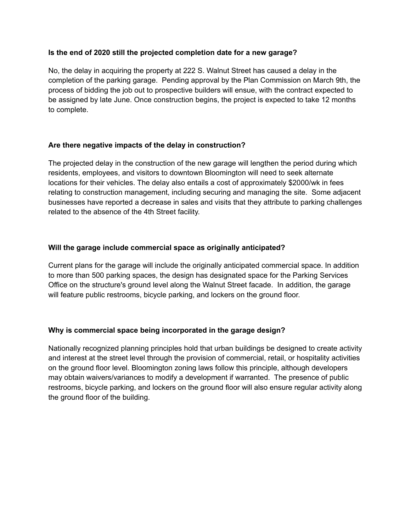#### **Is the end of 2020 still the projected completion date for a new garage?**

No, the delay in acquiring the property at 222 S. Walnut Street has caused a delay in the completion of the parking garage. Pending approval by the Plan Commission on March 9th, the process of bidding the job out to prospective builders will ensue, with the contract expected to be assigned by late June. Once construction begins, the project is expected to take 12 months to complete.

#### **Are there negative impacts of the delay in construction?**

The projected delay in the construction of the new garage will lengthen the period during which residents, employees, and visitors to downtown Bloomington will need to seek alternate locations for their vehicles. The delay also entails a cost of approximately \$2000/wk in fees relating to construction management, including securing and managing the site. Some adjacent businesses have reported a decrease in sales and visits that they attribute to parking challenges related to the absence of the 4th Street facility.

#### **Will the garage include commercial space as originally anticipated?**

Current plans for the garage will include the originally anticipated commercial space. In addition to more than 500 parking spaces, the design has designated space for the Parking Services Office on the structure's ground level along the Walnut Street facade. In addition, the garage will feature public restrooms, bicycle parking, and lockers on the ground floor.

## **Why is commercial space being incorporated in the garage design?**

Nationally recognized planning principles hold that urban buildings be designed to create activity and interest at the street level through the provision of commercial, retail, or hospitality activities on the ground floor level. Bloomington zoning laws follow this principle, although developers may obtain waivers/variances to modify a development if warranted. The presence of public restrooms, bicycle parking, and lockers on the ground floor will also ensure regular activity along the ground floor of the building.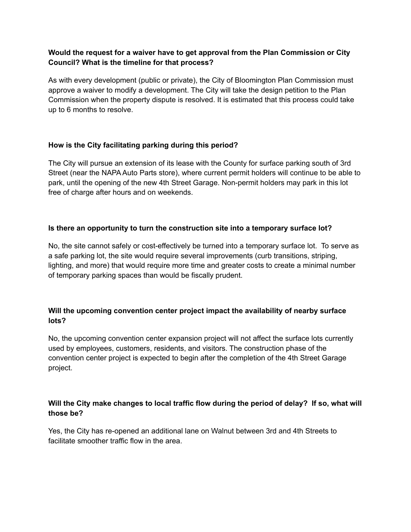#### **Would the request for a waiver have to get approval from the Plan Commission or City Council? What is the timeline for that process?**

As with every development (public or private), the City of Bloomington Plan Commission must approve a waiver to modify a development. The City will take the design petition to the Plan Commission when the property dispute is resolved. It is estimated that this process could take up to 6 months to resolve.

## **How is the City facilitating parking during this period?**

The City will pursue an extension of its lease with the County for surface parking south of 3rd Street (near the NAPA Auto Parts store), where current permit holders will continue to be able to park, until the opening of the new 4th Street Garage. Non-permit holders may park in this lot free of charge after hours and on weekends.

## **Is there an opportunity to turn the construction site into a temporary surface lot?**

No, the site cannot safely or cost-effectively be turned into a temporary surface lot. To serve as a safe parking lot, the site would require several improvements (curb transitions, striping, lighting, and more) that would require more time and greater costs to create a minimal number of temporary parking spaces than would be fiscally prudent.

## **Will the upcoming convention center project impact the availability of nearby surface lots?**

No, the upcoming convention center expansion project will not affect the surface lots currently used by employees, customers, residents, and visitors. The construction phase of the convention center project is expected to begin after the completion of the 4th Street Garage project.

## **Will the City make changes to local traffic flow during the period of delay? If so, what will those be?**

Yes, the City has re-opened an additional lane on Walnut between 3rd and 4th Streets to facilitate smoother traffic flow in the area.